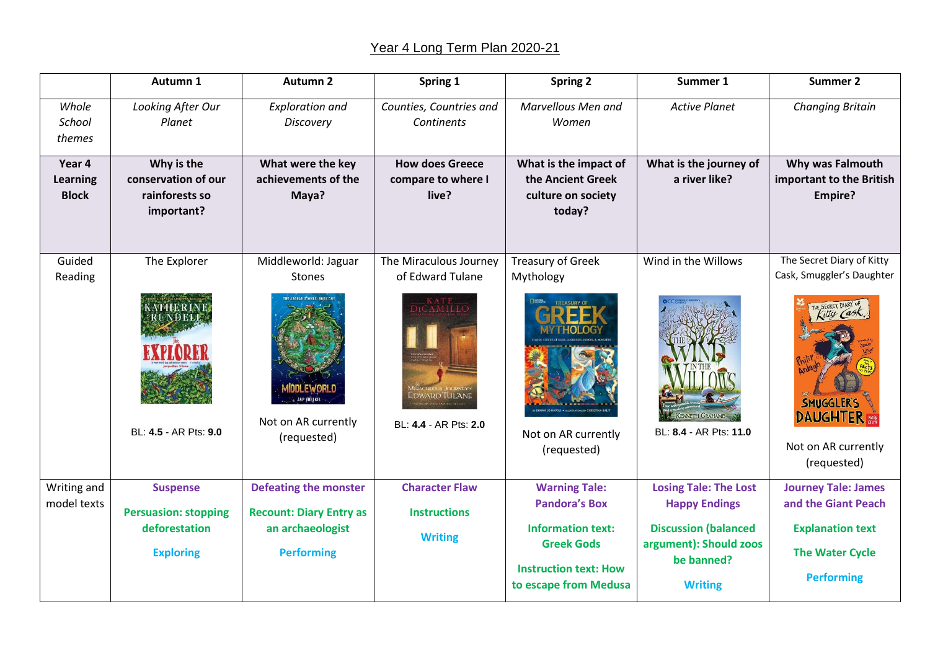## Year 4 Long Term Plan 2020-21

|                                    | Autumn 1                                                                            | <b>Autumn 2</b>                                                                                            | Spring 1                                                                            | <b>Spring 2</b>                                                                                                                                        | Summer 1                                                                                                                                      | <b>Summer 2</b>                                                                                                                                    |
|------------------------------------|-------------------------------------------------------------------------------------|------------------------------------------------------------------------------------------------------------|-------------------------------------------------------------------------------------|--------------------------------------------------------------------------------------------------------------------------------------------------------|-----------------------------------------------------------------------------------------------------------------------------------------------|----------------------------------------------------------------------------------------------------------------------------------------------------|
| Whole<br>School<br>themes          | Looking After Our<br>Planet                                                         | <b>Exploration and</b><br>Discovery                                                                        | Counties, Countries and<br>Continents                                               | Marvellous Men and<br>Women                                                                                                                            | <b>Active Planet</b>                                                                                                                          | <b>Changing Britain</b>                                                                                                                            |
| Year 4<br>Learning<br><b>Block</b> | Why is the<br>conservation of our<br>rainforests so<br>important?                   | What were the key<br>achievements of the<br>Maya?                                                          | <b>How does Greece</b><br>compare to where I<br>live?                               | What is the impact of<br>the Ancient Greek<br>culture on society<br>today?                                                                             | What is the journey of<br>a river like?                                                                                                       | Why was Falmouth<br>important to the British<br><b>Empire?</b>                                                                                     |
| Guided<br>Reading                  | The Explorer<br>BL: 4.5 - AR Pts: 9.0                                               | Middleworld: Jaguar<br><b>Stones</b><br>ח ואפ/עד וחחו<br>JEP VOELKEL<br>Not on AR currently<br>(requested) | The Miraculous Journey<br>of Edward Tulane<br>dward Tulane<br>BL: 4.4 - AR Pts: 2.0 | <b>Treasury of Greek</b><br>Mythology<br>Not on AR currently<br>(requested)                                                                            | Wind in the Willows<br><b>KENNETH GRAHAME</b><br>BL: 8.4 - AR Pts: 11.0                                                                       | The Secret Diary of Kitty<br>Cask, Smuggler's Daughter<br>E SECRET DIARY OF<br>SMUGGLER'S<br><b>DAUGHTER</b><br>Not on AR currently<br>(requested) |
| Writing and<br>model texts         | <b>Suspense</b><br><b>Persuasion: stopping</b><br>deforestation<br><b>Exploring</b> | <b>Defeating the monster</b><br><b>Recount: Diary Entry as</b><br>an archaeologist<br><b>Performing</b>    | <b>Character Flaw</b><br><b>Instructions</b><br><b>Writing</b>                      | <b>Warning Tale:</b><br><b>Pandora's Box</b><br><b>Information text:</b><br><b>Greek Gods</b><br><b>Instruction text: How</b><br>to escape from Medusa | <b>Losing Tale: The Lost</b><br><b>Happy Endings</b><br><b>Discussion (balanced</b><br>argument): Should zoos<br>be banned?<br><b>Writing</b> | <b>Journey Tale: James</b><br>and the Giant Peach<br><b>Explanation text</b><br><b>The Water Cycle</b><br><b>Performing</b>                        |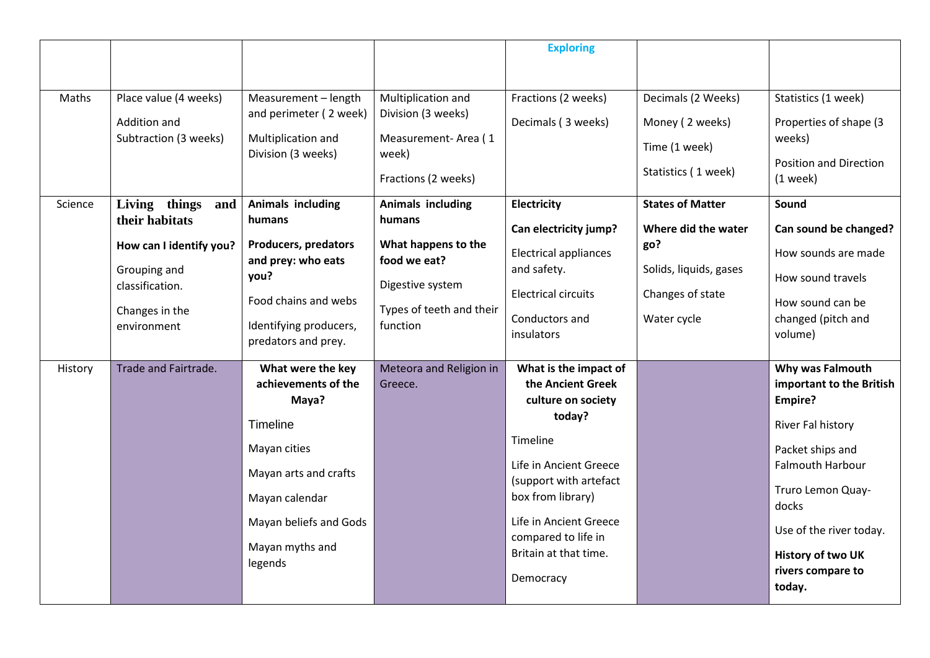|         |                               |                                                   |                                      | <b>Exploring</b>                                 |                         |                                      |
|---------|-------------------------------|---------------------------------------------------|--------------------------------------|--------------------------------------------------|-------------------------|--------------------------------------|
|         |                               |                                                   |                                      |                                                  |                         |                                      |
| Maths   | Place value (4 weeks)         | Measurement - length                              | Multiplication and                   | Fractions (2 weeks)                              | Decimals (2 Weeks)      | Statistics (1 week)                  |
|         | Addition and                  | and perimeter (2 week)                            | Division (3 weeks)                   | Decimals (3 weeks)                               | Money (2 weeks)         | Properties of shape (3               |
|         | Subtraction (3 weeks)         | Multiplication and<br>Division (3 weeks)          | Measurement-Area (1<br>week)         |                                                  | Time (1 week)           | weeks)                               |
|         |                               |                                                   | Fractions (2 weeks)                  |                                                  | Statistics (1 week)     | Position and Direction<br>$(1$ week) |
| Science | Living things<br>and          | <b>Animals including</b>                          | <b>Animals including</b>             | <b>Electricity</b>                               | <b>States of Matter</b> | Sound                                |
|         | their habitats                | humans                                            | humans                               | Can electricity jump?                            | Where did the water     | Can sound be changed?                |
|         | How can I identify you?       | <b>Producers, predators</b><br>and prey: who eats | What happens to the<br>food we eat?  | <b>Electrical appliances</b>                     | go?                     | How sounds are made                  |
|         | Grouping and                  | you?                                              |                                      | and safety.                                      | Solids, liquids, gases  | How sound travels                    |
|         | classification.               | Food chains and webs                              | Digestive system                     | <b>Electrical circuits</b>                       | Changes of state        | How sound can be                     |
|         | Changes in the<br>environment | Identifying producers,                            | Types of teeth and their<br>function | Conductors and                                   | Water cycle             | changed (pitch and                   |
|         |                               | predators and prey.                               |                                      | insulators                                       |                         | volume)                              |
| History | Trade and Fairtrade.          | What were the key                                 | Meteora and Religion in              | What is the impact of                            |                         | Why was Falmouth                     |
|         |                               | achievements of the                               | Greece.                              | the Ancient Greek                                |                         | important to the British             |
|         |                               | Maya?                                             |                                      | culture on society                               |                         | Empire?                              |
|         |                               | Timeline                                          |                                      | today?                                           |                         | River Fal history                    |
|         |                               | Mayan cities                                      |                                      | Timeline                                         |                         | Packet ships and                     |
|         |                               | Mayan arts and crafts                             |                                      | Life in Ancient Greece<br>(support with artefact |                         | Falmouth Harbour                     |
|         |                               | Mayan calendar                                    |                                      | box from library)                                |                         | Truro Lemon Quay-<br>docks           |
|         |                               | Mayan beliefs and Gods                            |                                      | Life in Ancient Greece<br>compared to life in    |                         | Use of the river today.              |
|         |                               | Mayan myths and<br>legends                        |                                      | Britain at that time.                            |                         | <b>History of two UK</b>             |
|         |                               |                                                   |                                      | Democracy                                        |                         | rivers compare to<br>today.          |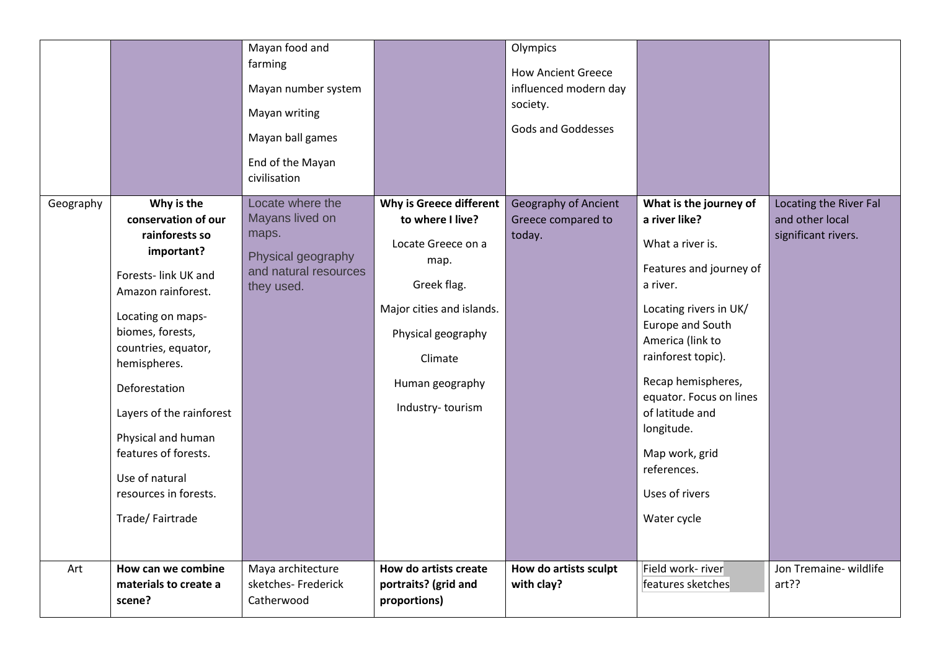|           |                                                       | Mayan food and<br>farming<br>Mayan number system<br>Mayan writing<br>Mayan ball games<br>End of the Mayan<br>civilisation<br>Locate where the |                                                               | Olympics<br><b>How Ancient Greece</b><br>influenced modern day<br>society.<br><b>Gods and Goddesses</b> |                                            |                                                                  |
|-----------|-------------------------------------------------------|-----------------------------------------------------------------------------------------------------------------------------------------------|---------------------------------------------------------------|---------------------------------------------------------------------------------------------------------|--------------------------------------------|------------------------------------------------------------------|
| Geography | Why is the<br>conservation of our<br>rainforests so   | Mayans lived on<br>maps.                                                                                                                      | Why is Greece different<br>to where I live?                   | <b>Geography of Ancient</b><br>Greece compared to<br>today.                                             | What is the journey of<br>a river like?    | Locating the River Fal<br>and other local<br>significant rivers. |
|           | important?                                            | Physical geography                                                                                                                            | Locate Greece on a<br>map.                                    |                                                                                                         | What a river is.                           |                                                                  |
|           | Forests- link UK and<br>Amazon rainforest.            | and natural resources<br>they used.                                                                                                           | Greek flag.                                                   |                                                                                                         | Features and journey of<br>a river.        |                                                                  |
|           | Locating on maps-<br>biomes, forests,                 |                                                                                                                                               | Major cities and islands.                                     |                                                                                                         | Locating rivers in UK/<br>Europe and South |                                                                  |
|           | countries, equator,                                   |                                                                                                                                               | Physical geography<br>Climate                                 |                                                                                                         | America (link to<br>rainforest topic).     |                                                                  |
|           | hemispheres.<br>Deforestation                         |                                                                                                                                               | Human geography                                               |                                                                                                         | Recap hemispheres,                         |                                                                  |
|           | Layers of the rainforest                              |                                                                                                                                               | Industry-tourism                                              |                                                                                                         | equator. Focus on lines<br>of latitude and |                                                                  |
|           | Physical and human<br>features of forests.            |                                                                                                                                               |                                                               |                                                                                                         | longitude.<br>Map work, grid               |                                                                  |
|           | Use of natural                                        |                                                                                                                                               |                                                               |                                                                                                         | references.                                |                                                                  |
|           | resources in forests.<br>Trade/Fairtrade              |                                                                                                                                               |                                                               |                                                                                                         | Uses of rivers<br>Water cycle              |                                                                  |
|           |                                                       |                                                                                                                                               |                                                               |                                                                                                         |                                            |                                                                  |
| Art       | How can we combine<br>materials to create a<br>scene? | Maya architecture<br>sketches- Frederick<br>Catherwood                                                                                        | How do artists create<br>portraits? (grid and<br>proportions) | How do artists sculpt<br>with clay?                                                                     | Field work- river<br>features sketches     | Jon Tremaine- wildlife<br>art??                                  |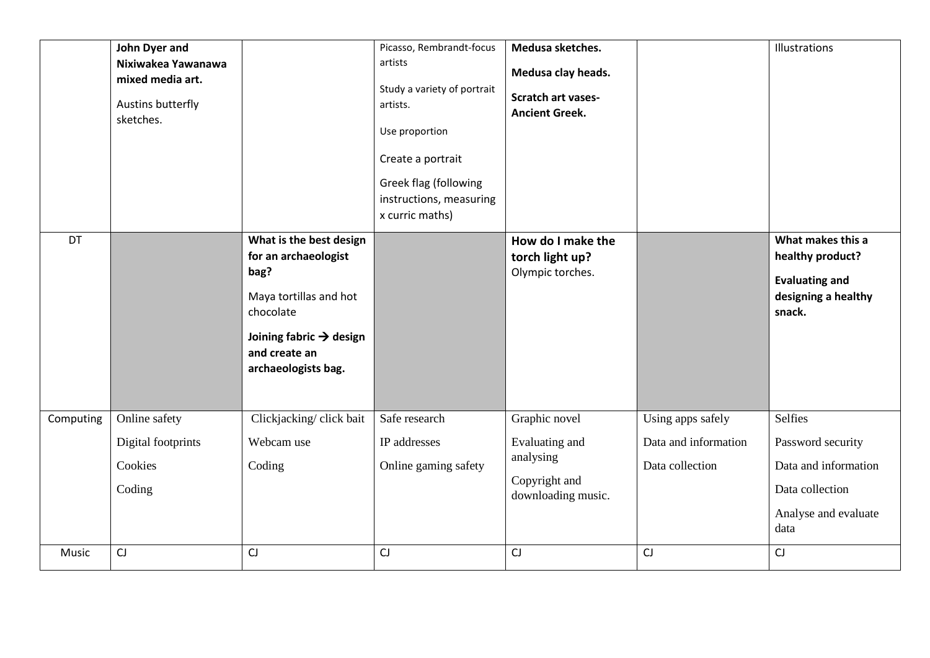|           | John Dyer and<br>Nixiwakea Yawanawa<br>mixed media art.<br>Austins butterfly<br>sketches. |                                                                                                                                                                               | Picasso, Rembrandt-focus<br>artists<br>Study a variety of portrait<br>artists.<br>Use proportion<br>Create a portrait<br>Greek flag (following<br>instructions, measuring<br>x curric maths) | Medusa sketches.<br>Medusa clay heads.<br><b>Scratch art vases-</b><br><b>Ancient Greek.</b> |                                                              | Illustrations                                                                                           |
|-----------|-------------------------------------------------------------------------------------------|-------------------------------------------------------------------------------------------------------------------------------------------------------------------------------|----------------------------------------------------------------------------------------------------------------------------------------------------------------------------------------------|----------------------------------------------------------------------------------------------|--------------------------------------------------------------|---------------------------------------------------------------------------------------------------------|
| DT        |                                                                                           | What is the best design<br>for an archaeologist<br>bag?<br>Maya tortillas and hot<br>chocolate<br>Joining fabric $\rightarrow$ design<br>and create an<br>archaeologists bag. |                                                                                                                                                                                              | How do I make the<br>torch light up?<br>Olympic torches.                                     |                                                              | What makes this a<br>healthy product?<br><b>Evaluating and</b><br>designing a healthy<br>snack.         |
| Computing | Online safety<br>Digital footprints<br>Cookies<br>Coding                                  | Clickjacking/click bait<br>Webcam use<br>Coding                                                                                                                               | Safe research<br>IP addresses<br>Online gaming safety                                                                                                                                        | Graphic novel<br>Evaluating and<br>analysing<br>Copyright and<br>downloading music.          | Using apps safely<br>Data and information<br>Data collection | Selfies<br>Password security<br>Data and information<br>Data collection<br>Analyse and evaluate<br>data |
| Music     | CJ                                                                                        | CJ                                                                                                                                                                            | CJ                                                                                                                                                                                           | CJ                                                                                           | CJ                                                           | CJ                                                                                                      |